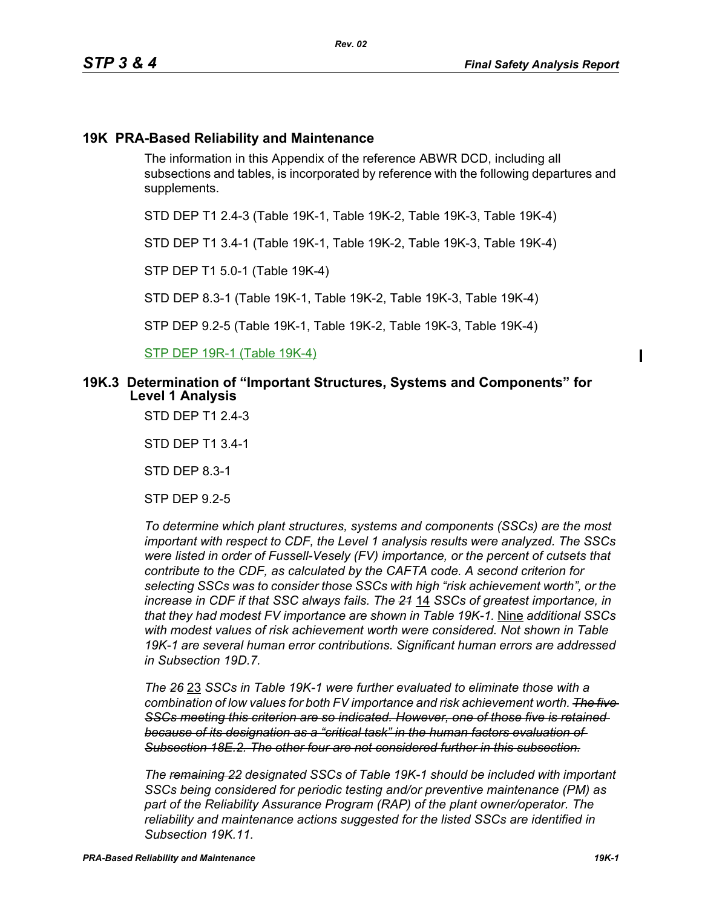# **19K PRA-Based Reliability and Maintenance**

The information in this Appendix of the reference ABWR DCD, including all subsections and tables, is incorporated by reference with the following departures and supplements.

STD DEP T1 2.4-3 (Table 19K-1, Table 19K-2, Table 19K-3, Table 19K-4)

*Rev. 02*

STD DEP T1 3.4-1 (Table 19K-1, Table 19K-2, Table 19K-3, Table 19K-4)

STP DEP T1 5.0-1 (Table 19K-4)

STD DEP 8.3-1 (Table 19K-1, Table 19K-2, Table 19K-3, Table 19K-4)

STP DEP 9.2-5 (Table 19K-1, Table 19K-2, Table 19K-3, Table 19K-4)

STP DEP 19R-1 (Table 19K-4)

### **19K.3 Determination of "Important Structures, Systems and Components" for Level 1 Analysis**

STD DEP T1 2.4-3

STD DEP T1 3.4-1

STD DEP 8.3-1

STP DEP 9.2-5

*To determine which plant structures, systems and components (SSCs) are the most important with respect to CDF, the Level 1 analysis results were analyzed. The SSCs were listed in order of Fussell-Vesely (FV) importance, or the percent of cutsets that contribute to the CDF, as calculated by the CAFTA code. A second criterion for selecting SSCs was to consider those SSCs with high "risk achievement worth", or the increase in CDF if that SSC always fails. The 21* 14 *SSCs of greatest importance, in that they had modest FV importance are shown in Table 19K-1.* Nine *additional SSCs with modest values of risk achievement worth were considered. Not shown in Table 19K-1 are several human error contributions. Significant human errors are addressed in Subsection 19D.7.*

*The 26* 23 *SSCs in Table 19K-1 were further evaluated to eliminate those with a combination of low values for both FV importance and risk achievement worth. The five SSCs meeting this criterion are so indicated. However, one of those five is retained because of its designation as a "critical task" in the human factors evaluation of Subsection 18E.2. The other four are not considered further in this subsection.*

*The remaining 22 designated SSCs of Table 19K-1 should be included with important SSCs being considered for periodic testing and/or preventive maintenance (PM) as part of the Reliability Assurance Program (RAP) of the plant owner/operator. The reliability and maintenance actions suggested for the listed SSCs are identified in Subsection 19K.11.*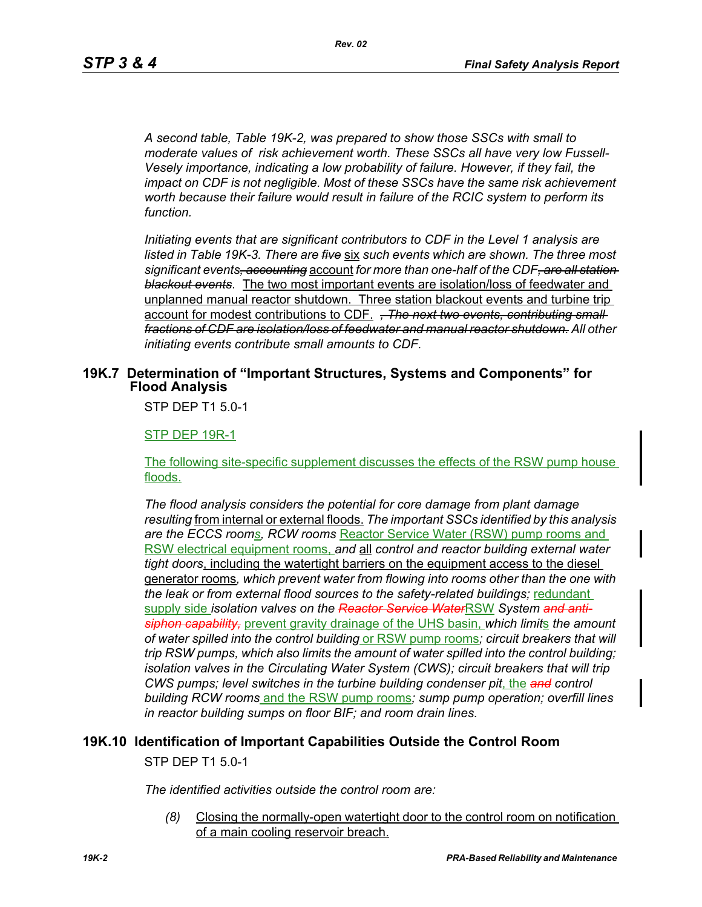*A second table, Table 19K-2, was prepared to show those SSCs with small to moderate values of risk achievement worth. These SSCs all have very low Fussell-Vesely importance, indicating a low probability of failure. However, if they fail, the impact on CDF is not negligible. Most of these SSCs have the same risk achievement worth because their failure would result in failure of the RCIC system to perform its function.*

*Initiating events that are significant contributors to CDF in the Level 1 analysis are listed in Table 19K-3. There are five* six *such events which are shown. The three most significant events, accounting* account *for more than one-half of the CDF, are all station blackout events*. The two most important events are isolation/loss of feedwater and unplanned manual reactor shutdown. Three station blackout events and turbine trip account for modest contributions to CDF. *, The next two events, contributing small fractions of CDF are isolation/loss of feedwater and manual reactor shutdown. All other initiating events contribute small amounts to CDF.*

### **19K.7 Determination of "Important Structures, Systems and Components" for Flood Analysis**

STP DEP T1 5.0-1

**STP DEP 19R-1** 

The following site-specific supplement discusses the effects of the RSW pump house floods.

*The flood analysis considers the potential for core damage from plant damage resulting* from internal or external floods. *The important SSCs identified by this analysis are the ECCS rooms, RCW rooms* Reactor Service Water (RSW) pump rooms and RSW electrical equipment rooms, *and* all *control and reactor building external water tight doors*, including the watertight barriers on the equipment access to the diesel generator rooms*, which prevent water from flowing into rooms other than the one with the leak or from external flood sources to the safety-related buildings;* redundant supply side *isolation valves on the Reactor Service Water*RSW *System and antisiphon capability,* prevent gravity drainage of the UHS basin, *which limit*s *the amount of water spilled into the control building* or RSW pump rooms*; circuit breakers that will trip RSW pumps, which also limits the amount of water spilled into the control building; isolation valves in the Circulating Water System (CWS); circuit breakers that will trip CWS pumps; level switches in the turbine building condenser pit*, the *and control building RCW rooms* and the RSW pump rooms*; sump pump operation; overfill lines in reactor building sumps on floor BIF; and room drain lines.*

# **19K.10 Identification of Important Capabilities Outside the Control Room** STP DEP T1 5.0-1

*The identified activities outside the control room are:*

*(8)* Closing the normally-open watertight door to the control room on notification of a main cooling reservoir breach.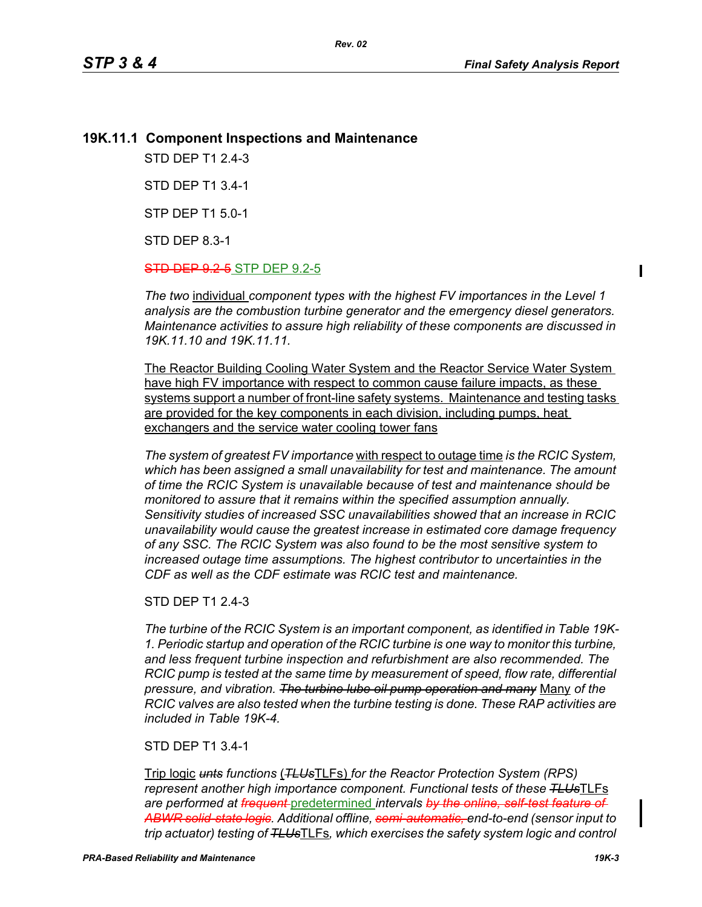$\mathbf I$ 

## **19K.11.1 Component Inspections and Maintenance**

STD DEP T1 2.4-3

STD DEP T1 3.4-1

STP DEP T1 5.0-1

STD DEP 8.3-1

**STD DEP 9.2-5** STP DEP 9.2-5

*The two* individual *component types with the highest FV importances in the Level 1 analysis are the combustion turbine generator and the emergency diesel generators. Maintenance activities to assure high reliability of these components are discussed in 19K.11.10 and 19K.11.11.*

*Rev. 02*

The Reactor Building Cooling Water System and the Reactor Service Water System have high FV importance with respect to common cause failure impacts, as these systems support a number of front-line safety systems. Maintenance and testing tasks are provided for the key components in each division, including pumps, heat exchangers and the service water cooling tower fans

*The system of greatest FV importance* with respect to outage time *is the RCIC System, which has been assigned a small unavailability for test and maintenance. The amount of time the RCIC System is unavailable because of test and maintenance should be monitored to assure that it remains within the specified assumption annually. Sensitivity studies of increased SSC unavailabilities showed that an increase in RCIC unavailability would cause the greatest increase in estimated core damage frequency of any SSC. The RCIC System was also found to be the most sensitive system to increased outage time assumptions. The highest contributor to uncertainties in the CDF as well as the CDF estimate was RCIC test and maintenance.*

### STD DEP T1 2.4-3

*The turbine of the RCIC System is an important component, as identified in Table 19K-1. Periodic startup and operation of the RCIC turbine is one way to monitor this turbine, and less frequent turbine inspection and refurbishment are also recommended. The RCIC pump is tested at the same time by measurement of speed, flow rate, differential pressure, and vibration. The turbine lube oil pump operation and many* Many *of the RCIC valves are also tested when the turbine testing is done. These RAP activities are included in Table 19K-4.*

### STD DEP T1 3.4-1

Trip logic *unts functions* (*TLUs*TLFs) *for the Reactor Protection System (RPS) represent another high importance component. Functional tests of these TLUs*TLFs *are performed at frequent* predetermined *intervals by the online, self-test feature of ABWR solid-state logic. Additional offline, semi-automatic, end-to-end (sensor input to trip actuator) testing of TLUs*TLFs*, which exercises the safety system logic and control*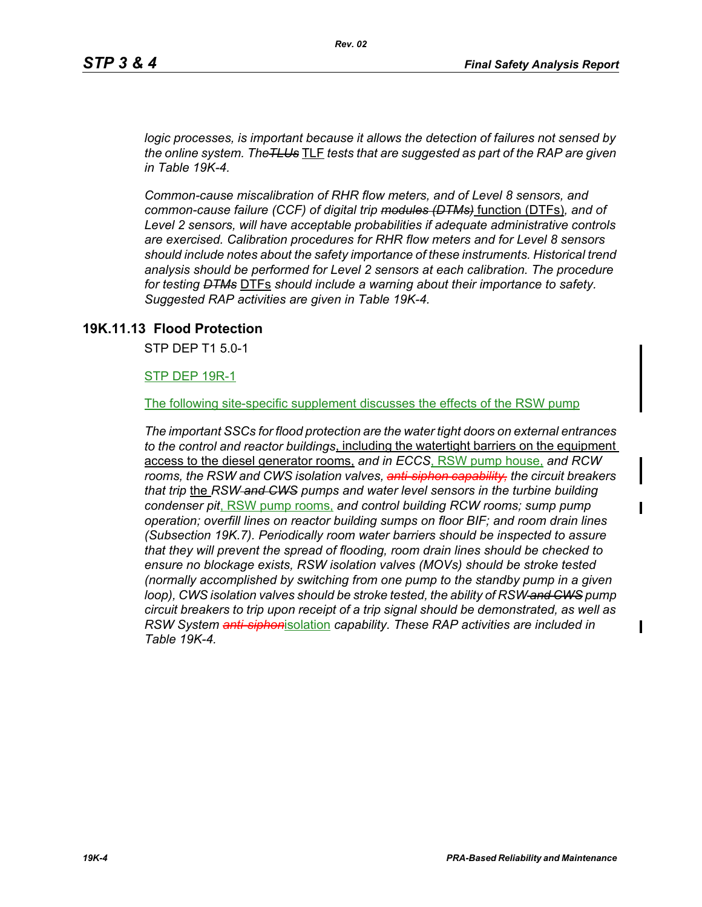*logic processes, is important because it allows the detection of failures not sensed by the online system. TheTLUs* TLF *tests that are suggested as part of the RAP are given in Table 19K-4.* 

*Common-cause miscalibration of RHR flow meters, and of Level 8 sensors, and common-cause failure (CCF) of digital trip modules (DTMs)* function (DTFs)*, and of Level 2 sensors, will have acceptable probabilities if adequate administrative controls are exercised. Calibration procedures for RHR flow meters and for Level 8 sensors should include notes about the safety importance of these instruments. Historical trend analysis should be performed for Level 2 sensors at each calibration. The procedure for testing DTMs* DTFs *should include a warning about their importance to safety. Suggested RAP activities are given in Table 19K-4.*

### **19K.11.13 Flood Protection**

STP DEP T1 5.0-1

STP DEP 19R-1

The following site-specific supplement discusses the effects of the RSW pump

*The important SSCs for flood protection are the water tight doors on external entrances to the control and reactor buildings*, including the watertight barriers on the equipment access to the diesel generator rooms, *and in ECCS*, RSW pump house, *and RCW rooms, the RSW and CWS isolation valves, anti-siphon capability, the circuit breakers that trip* the *RSW and CWS pumps and water level sensors in the turbine building condenser pit*, RSW pump rooms, *and control building RCW rooms; sump pump operation; overfill lines on reactor building sumps on floor BIF; and room drain lines (Subsection 19K.7). Periodically room water barriers should be inspected to assure that they will prevent the spread of flooding, room drain lines should be checked to ensure no blockage exists, RSW isolation valves (MOVs) should be stroke tested (normally accomplished by switching from one pump to the standby pump in a given loop), CWS isolation valves should be stroke tested, the ability of RSW and CWS pump circuit breakers to trip upon receipt of a trip signal should be demonstrated, as well as RSW System anti-siphon*isolation *capability. These RAP activities are included in Table 19K-4.*

Π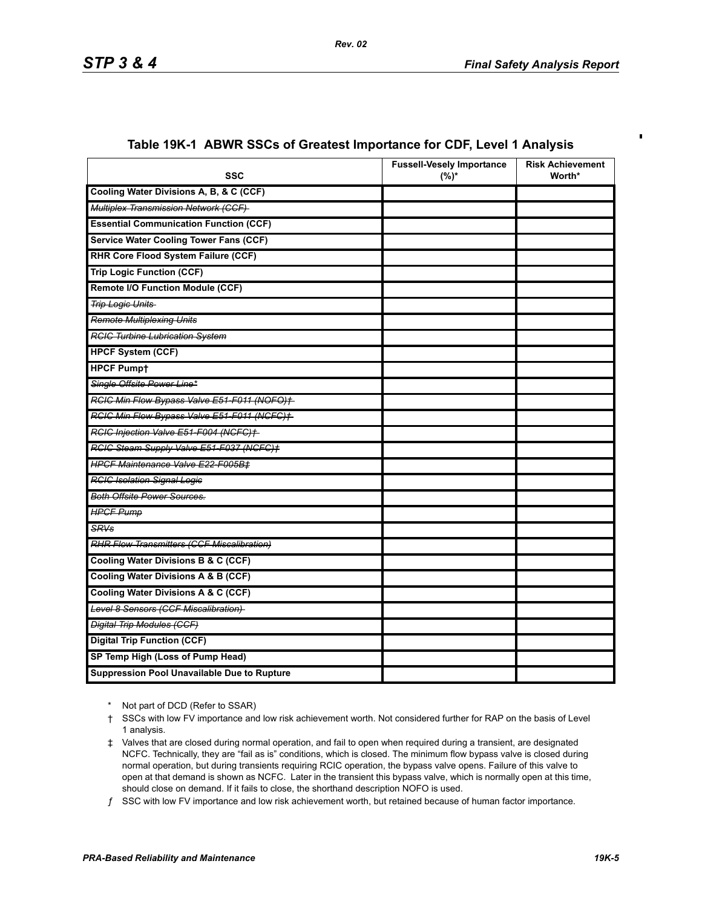$\blacksquare$ 

| <b>SSC</b>                                        | <b>Fussell-Vesely Importance</b><br>$(%)^*$ | <b>Risk Achievement</b><br>Worth* |
|---------------------------------------------------|---------------------------------------------|-----------------------------------|
| Cooling Water Divisions A, B, & C (CCF)           |                                             |                                   |
| Multiplex Transmission Network (CCF)              |                                             |                                   |
| <b>Essential Communication Function (CCF)</b>     |                                             |                                   |
| <b>Service Water Cooling Tower Fans (CCF)</b>     |                                             |                                   |
| <b>RHR Core Flood System Failure (CCF)</b>        |                                             |                                   |
| <b>Trip Logic Function (CCF)</b>                  |                                             |                                   |
| <b>Remote I/O Function Module (CCF)</b>           |                                             |                                   |
| <b>Trip Logic Units</b>                           |                                             |                                   |
| <b>Remote Multiplexing Units</b>                  |                                             |                                   |
| <b>RCIC Turbine Lubrication System</b>            |                                             |                                   |
| <b>HPCF System (CCF)</b>                          |                                             |                                   |
| <b>HPCF Pumpt</b>                                 |                                             |                                   |
| Single Offsite Power Line*                        |                                             |                                   |
| RCIC Min Flow Bypass Valve E51-F011 (NOFO)+       |                                             |                                   |
| RCIC Min Flow Bypass Valve E51-F011 (NCFC)+       |                                             |                                   |
| RCIC Injection Valve E51-F004 (NCFC)+             |                                             |                                   |
| RGIG Steam Supply Valve E51-F037 (NGFG)+          |                                             |                                   |
| <b>HPCF Maintenance Valve E22-F005B±</b>          |                                             |                                   |
| <b>RCIC Isolation Signal Logic</b>                |                                             |                                   |
| <b>Both Offsite Power Sources.</b>                |                                             |                                   |
| <b>HPGF Pump</b>                                  |                                             |                                   |
| SRVs                                              |                                             |                                   |
| <b>RHR Flow Transmitters (CCF Miscalibration)</b> |                                             |                                   |
| <b>Cooling Water Divisions B &amp; C (CCF)</b>    |                                             |                                   |
| <b>Cooling Water Divisions A &amp; B (CCF)</b>    |                                             |                                   |
| Cooling Water Divisions A & C (CCF)               |                                             |                                   |
| Level 8 Sensors (CCF Miscalibration)              |                                             |                                   |
| <b>Digital Trip Modules (CCF)</b>                 |                                             |                                   |
| <b>Digital Trip Function (CCF)</b>                |                                             |                                   |
| SP Temp High (Loss of Pump Head)                  |                                             |                                   |
| Suppression Pool Unavailable Due to Rupture       |                                             |                                   |

### **Table 19K-1 ABWR SSCs of Greatest Importance for CDF, Level 1 Analysis**

\* Not part of DCD (Refer to SSAR)

<sup>†</sup> SSCs with low FV importance and low risk achievement worth. Not considered further for RAP on the basis of Level 1 analysis.

<sup>‡</sup> Valves that are closed during normal operation, and fail to open when required during a transient, are designated NCFC. Technically, they are "fail as is" conditions, which is closed. The minimum flow bypass valve is closed during normal operation, but during transients requiring RCIC operation, the bypass valve opens. Failure of this valve to open at that demand is shown as NCFC. Later in the transient this bypass valve, which is normally open at this time, should close on demand. If it fails to close, the shorthand description NOFO is used.

ƒ SSC with low FV importance and low risk achievement worth, but retained because of human factor importance.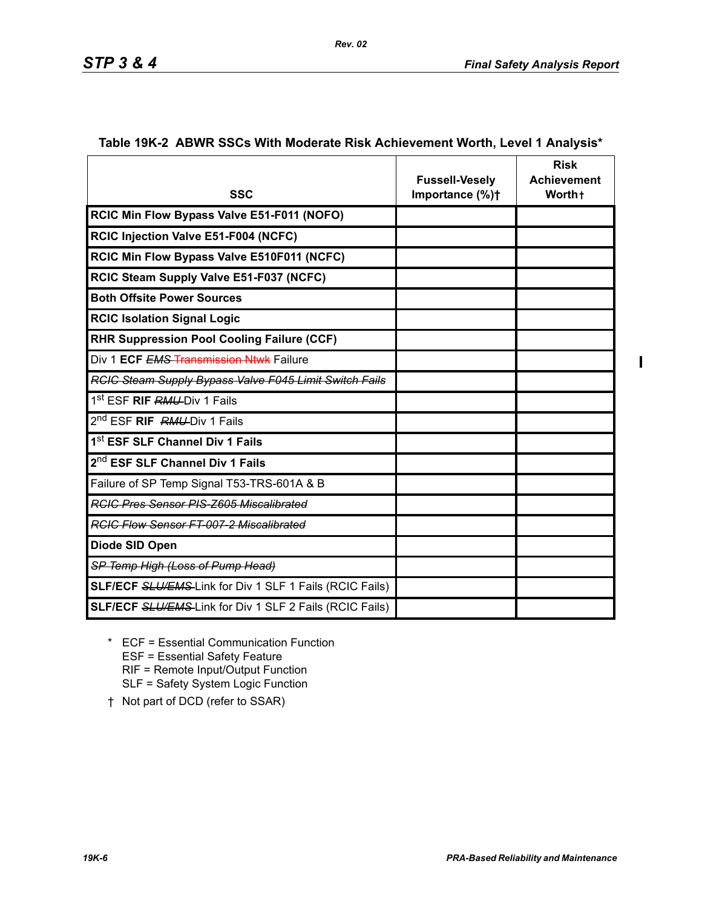$\blacksquare$ 

|                                                                | <b>Fussell-Vesely</b> | <b>Risk</b><br><b>Achievement</b> |
|----------------------------------------------------------------|-----------------------|-----------------------------------|
| <b>SSC</b>                                                     | Importance (%)+       | Worth+                            |
| RCIC Min Flow Bypass Valve E51-F011 (NOFO)                     |                       |                                   |
| RCIC Injection Valve E51-F004 (NCFC)                           |                       |                                   |
| RCIC Min Flow Bypass Valve E510F011 (NCFC)                     |                       |                                   |
| RCIC Steam Supply Valve E51-F037 (NCFC)                        |                       |                                   |
| <b>Both Offsite Power Sources</b>                              |                       |                                   |
| <b>RCIC Isolation Signal Logic</b>                             |                       |                                   |
| <b>RHR Suppression Pool Cooling Failure (CCF)</b>              |                       |                                   |
| Div 1 ECF EMS Transmission Ntwk Failure                        |                       |                                   |
| <b>RCIC Steam Supply Bypass Valve F045 Limit Switch Fails</b>  |                       |                                   |
| 1 <sup>st</sup> ESF <b>RIF RMU-</b> Div 1 Fails                |                       |                                   |
| 2 <sup>nd</sup> ESF <b>RIF</b> RMU-Div 1 Fails                 |                       |                                   |
| 1 <sup>st</sup> ESF SLF Channel Div 1 Fails                    |                       |                                   |
| 2 <sup>nd</sup> ESF SLF Channel Div 1 Fails                    |                       |                                   |
| Failure of SP Temp Signal T53-TRS-601A & B                     |                       |                                   |
| <b>RGIG Pres Sensor PIS-Z605 Miscalibrated</b>                 |                       |                                   |
| <b>RCIC Flow Sensor FT-007-2 Miscalibrated</b>                 |                       |                                   |
| Diode SID Open                                                 |                       |                                   |
| SP Temp High (Loss of Pump Head)                               |                       |                                   |
| <b>SLF/ECF SLU/EMS-Link for Div 1 SLF 1 Fails (RCIC Fails)</b> |                       |                                   |
| <b>SLF/ECF SLU/EMS-Link for Div 1 SLF 2 Fails (RCIC Fails)</b> |                       |                                   |

#### **Table 19K-2 ABWR SSCs With Moderate Risk Achievement Worth, Level 1 Analysis\***

*Rev. 02*

- \* ECF = Essential Communication Function ESF = Essential Safety Feature RIF = Remote Input/Output Function SLF = Safety System Logic Function
- † Not part of DCD (refer to SSAR)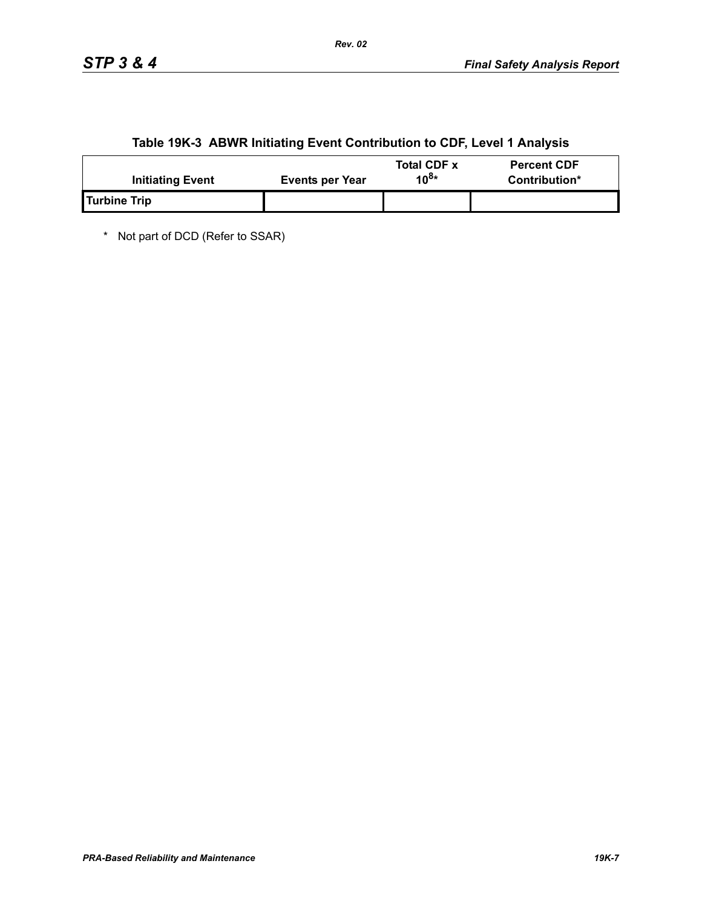|  | Table 19K-3 ABWR Initiating Event Contribution to CDF, Level 1 Analysis |
|--|-------------------------------------------------------------------------|
|  |                                                                         |

| <b>Initiating Event</b> | Events per Year | <b>Total CDF x</b><br>10 <sup>8∗</sup> | <b>Percent CDF</b><br>Contribution* |
|-------------------------|-----------------|----------------------------------------|-------------------------------------|
| Turbine Trip            |                 |                                        |                                     |

\* Not part of DCD (Refer to SSAR)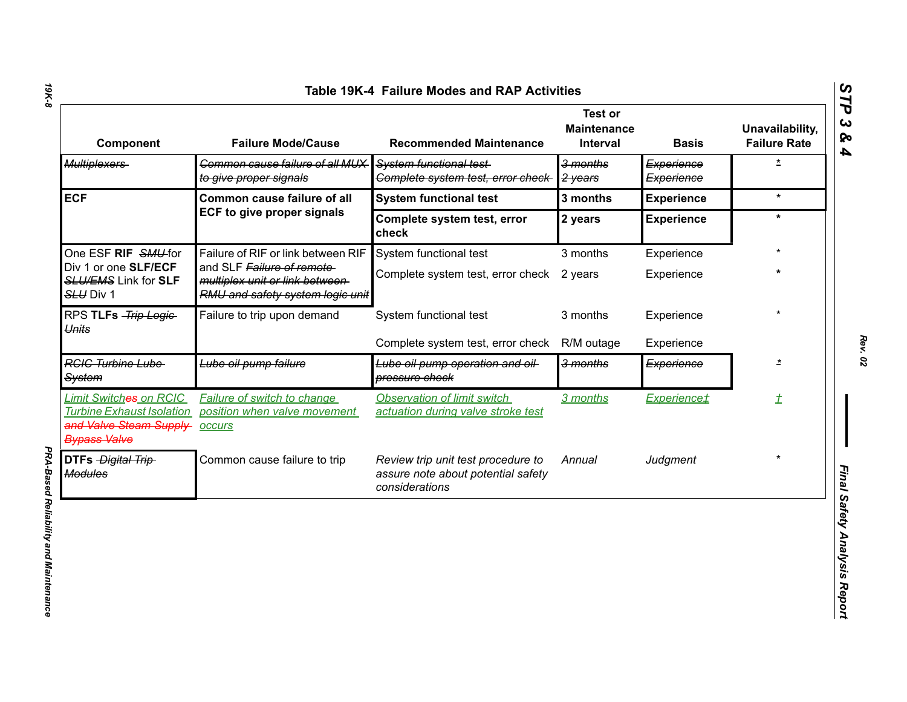| Component                                                                                                          | <b>Failure Mode/Cause</b>                                                                       | <b>Recommended Maintenance</b>                                                             | Test or<br><b>Maintenance</b><br><b>Interval</b> | <b>Basis</b>             | Unavailability,<br><b>Failure Rate</b> |
|--------------------------------------------------------------------------------------------------------------------|-------------------------------------------------------------------------------------------------|--------------------------------------------------------------------------------------------|--------------------------------------------------|--------------------------|----------------------------------------|
| <b>Multiplexers</b>                                                                                                | Common cause failure of all MUX<br>to give proper signals                                       | System functional test-<br>Complete system test, error check-                              | 3 months<br>2 years                              | Experience<br>Experience | $\overline{\mathbf{r}}$                |
| <b>ECF</b>                                                                                                         | Common cause failure of all                                                                     | <b>System functional test</b>                                                              | 3 months                                         | <b>Experience</b>        | $\star$                                |
|                                                                                                                    | <b>ECF to give proper signals</b>                                                               | Complete system test, error<br>check                                                       | 2 years                                          | <b>Experience</b>        | $\ast$                                 |
| One ESF RIF SMU-for                                                                                                | Failure of RIF or link between RIF                                                              | System functional test                                                                     | 3 months                                         | Experience               |                                        |
| Div 1 or one SLF/ECF<br><b>SLU/EMS Link for SLF</b><br>SLU Div 1                                                   | and SLF Failure of remote<br>multiplex unit or link between<br>RMU and safety system logic unit | Complete system test, error check 2 years                                                  |                                                  | Experience               |                                        |
| RPS TLFs - Trip Logic-<br>Units                                                                                    | Failure to trip upon demand                                                                     | System functional test                                                                     | 3 months                                         | Experience               |                                        |
|                                                                                                                    |                                                                                                 | Complete system test, error check                                                          | R/M outage                                       | Experience               |                                        |
| <b>RGIG Turbine Lube</b><br><b>System</b>                                                                          | Lube oil pump failure                                                                           | Lube oil pump operation and oil<br>pressure check                                          | 3 months                                         | Experience               | $\star$                                |
| <b>Limit Switches on RCIC</b><br><b>Turbine Exhaust Isolation</b><br>and Valve Steam Supply<br><b>Bypass Valve</b> | <b>Failure of switch to change</b><br>position when valve movement<br><b>occurs</b>             | <b>Observation of limit switch</b><br>actuation during valve stroke test                   | 3 months                                         | <b>Experience</b> #      | $\overline{\mathcal{I}}$               |
| DTFs - Digital Trip-<br><b>Modules</b>                                                                             | Common cause failure to trip                                                                    | Review trip unit test procedure to<br>assure note about potential safety<br>considerations | Annual                                           | Judgment                 | $\star$                                |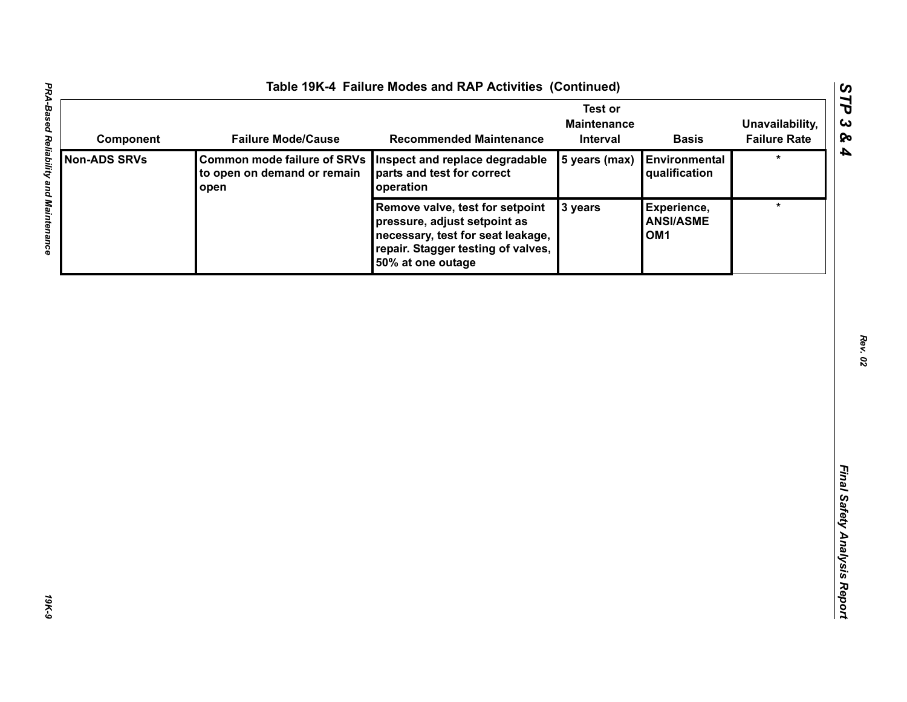| Component           | <b>Failure Mode/Cause</b>                                                 | <b>Recommended Maintenance</b>                                                                                                                                  | <b>Test or</b><br><b>Maintenance</b><br>Interval | <b>Basis</b>                                       | Unavailability,<br><b>Failure Rate</b> |
|---------------------|---------------------------------------------------------------------------|-----------------------------------------------------------------------------------------------------------------------------------------------------------------|--------------------------------------------------|----------------------------------------------------|----------------------------------------|
| <b>Non-ADS SRVs</b> | <b>Common mode failure of SRVs</b><br>to open on demand or remain<br>open | Inspect and replace degradable<br>parts and test for correct<br>operation                                                                                       | 5 years (max)                                    | Environmental<br>qualification                     | $\star$                                |
|                     |                                                                           | Remove valve, test for setpoint<br>pressure, adjust setpoint as<br>necessary, test for seat leakage,<br>repair. Stagger testing of valves,<br>50% at one outage | 3 years                                          | Experience,<br><b>ANSI/ASME</b><br>OM <sub>1</sub> | $\star$                                |
|                     |                                                                           |                                                                                                                                                                 |                                                  |                                                    |                                        |
|                     |                                                                           |                                                                                                                                                                 |                                                  |                                                    |                                        |
|                     |                                                                           |                                                                                                                                                                 |                                                  |                                                    |                                        |
|                     |                                                                           |                                                                                                                                                                 |                                                  |                                                    |                                        |
|                     |                                                                           |                                                                                                                                                                 |                                                  |                                                    |                                        |
|                     |                                                                           |                                                                                                                                                                 |                                                  |                                                    |                                        |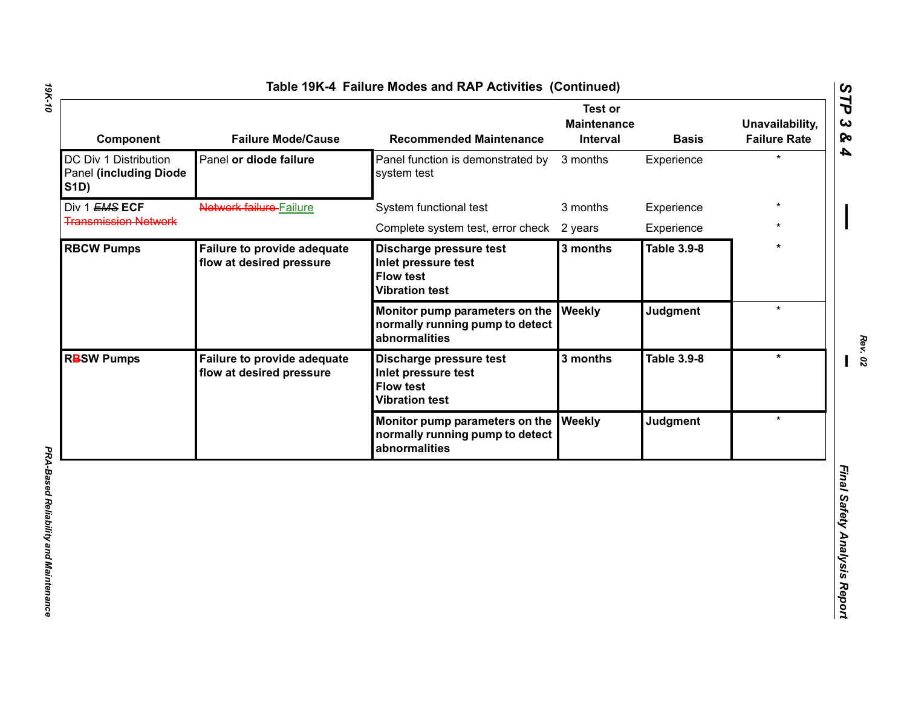| Component                                                                    | <b>Failure Mode/Cause</b>                                                          | <b>Recommended Maintenance</b>                                                              | <b>Test or</b><br><b>Maintenance</b><br>Interval | <b>Basis</b>       | Unavailability,<br><b>Failure Rate</b> |
|------------------------------------------------------------------------------|------------------------------------------------------------------------------------|---------------------------------------------------------------------------------------------|--------------------------------------------------|--------------------|----------------------------------------|
| DC Div 1 Distribution<br><b>Panel (including Diode)</b><br><b>S1D)</b>       | Panel or diode failure                                                             | Panel function is demonstrated by<br>system test                                            | 3 months                                         | Experience         | $\star$                                |
| Div 1 EMS ECF                                                                | Network failure-Failure                                                            | System functional test                                                                      | 3 months                                         | Experience         |                                        |
| <b>Transmission Network</b>                                                  |                                                                                    | Complete system test, error check                                                           | 2 years                                          | Experience         |                                        |
| <b>RBCW Pumps</b>                                                            | Failure to provide adequate<br>flow at desired pressure                            | Discharge pressure test<br>Inlet pressure test<br><b>Flow test</b><br><b>Vibration test</b> | 3 months                                         | <b>Table 3.9-8</b> |                                        |
|                                                                              |                                                                                    | Monitor pump parameters on the<br>normally running pump to detect<br>abnormalities          | Weekly                                           | <b>Judgment</b>    | $\star$                                |
| <b>RBSW Pumps</b><br>Failure to provide adequate<br>flow at desired pressure |                                                                                    | Discharge pressure test<br>Inlet pressure test<br><b>Flow test</b><br><b>Vibration test</b> | 3 months                                         | <b>Table 3.9-8</b> | $\star$                                |
|                                                                              | Monitor pump parameters on the<br>normally running pump to detect<br>abnormalities | Weekly                                                                                      | Judgment                                         | $\star$            |                                        |
|                                                                              |                                                                                    |                                                                                             |                                                  |                    |                                        |

*Rev. 02*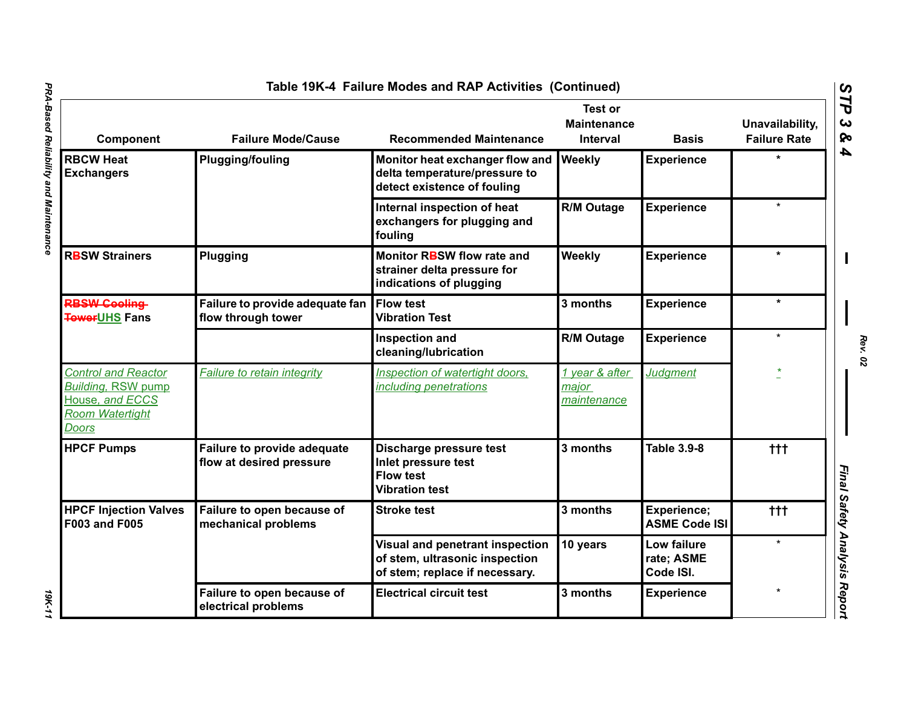|                                                                                                               |                                                         | Table 19K-4 Failure Modes and RAP Activities (Continued)                                            |                                                  |                                        |                                        |
|---------------------------------------------------------------------------------------------------------------|---------------------------------------------------------|-----------------------------------------------------------------------------------------------------|--------------------------------------------------|----------------------------------------|----------------------------------------|
| Component                                                                                                     | <b>Failure Mode/Cause</b>                               | <b>Recommended Maintenance</b>                                                                      | <b>Test or</b><br><b>Maintenance</b><br>Interval | <b>Basis</b>                           | Unavailability,<br><b>Failure Rate</b> |
| <b>RBCW Heat</b><br><b>Exchangers</b>                                                                         | <b>Plugging/fouling</b>                                 | Monitor heat exchanger flow and<br>delta temperature/pressure to<br>detect existence of fouling     | <b>Weekly</b>                                    | <b>Experience</b>                      |                                        |
|                                                                                                               |                                                         | Internal inspection of heat<br>exchangers for plugging and<br>fouling                               | R/M Outage                                       | <b>Experience</b>                      | $\star$                                |
| <b>RBSW Strainers</b>                                                                                         | Plugging                                                | Monitor RBSW flow rate and<br>strainer delta pressure for<br>indications of plugging                | Weekly                                           | <b>Experience</b>                      | $\star$                                |
| <b>RBSW Cooling</b><br><b>TowerUHS Fans</b>                                                                   | Failure to provide adequate fan<br>flow through tower   | <b>Flow test</b><br><b>Vibration Test</b>                                                           | 3 months                                         | <b>Experience</b>                      | $\star$                                |
|                                                                                                               |                                                         | <b>Inspection and</b><br>cleaning/lubrication                                                       | <b>R/M Outage</b>                                | <b>Experience</b>                      | $\star$                                |
| <b>Control and Reactor</b><br><b>Building, RSW pump</b><br>House, and ECCS<br>Room Watertight<br><b>Doors</b> | <b>Failure to retain integrity</b>                      | Inspection of watertight doors,<br>including penetrations                                           | 1 year & after<br>major<br>maintenance           | <b>Judgment</b>                        |                                        |
| <b>HPCF Pumps</b>                                                                                             | Failure to provide adequate<br>flow at desired pressure | Discharge pressure test<br>Inlet pressure test<br><b>Flow test</b><br><b>Vibration test</b>         | 3 months                                         | Table 3.9-8                            | ttt                                    |
| <b>HPCF Injection Valves</b><br>F003 and F005                                                                 | Failure to open because of<br>mechanical problems       | <b>Stroke test</b>                                                                                  | 3 months                                         | Experience;<br><b>ASME Code ISI</b>    | $+++$                                  |
|                                                                                                               |                                                         | Visual and penetrant inspection<br>of stem, ultrasonic inspection<br>of stem; replace if necessary. | 10 years                                         | Low failure<br>rate; ASME<br>Code ISI. | $\star$                                |
|                                                                                                               | Failure to open because of<br>electrical problems       | <b>Electrical circuit test</b>                                                                      | 3 months                                         | <b>Experience</b>                      | $\star$                                |

*Rev. 02*

19K-11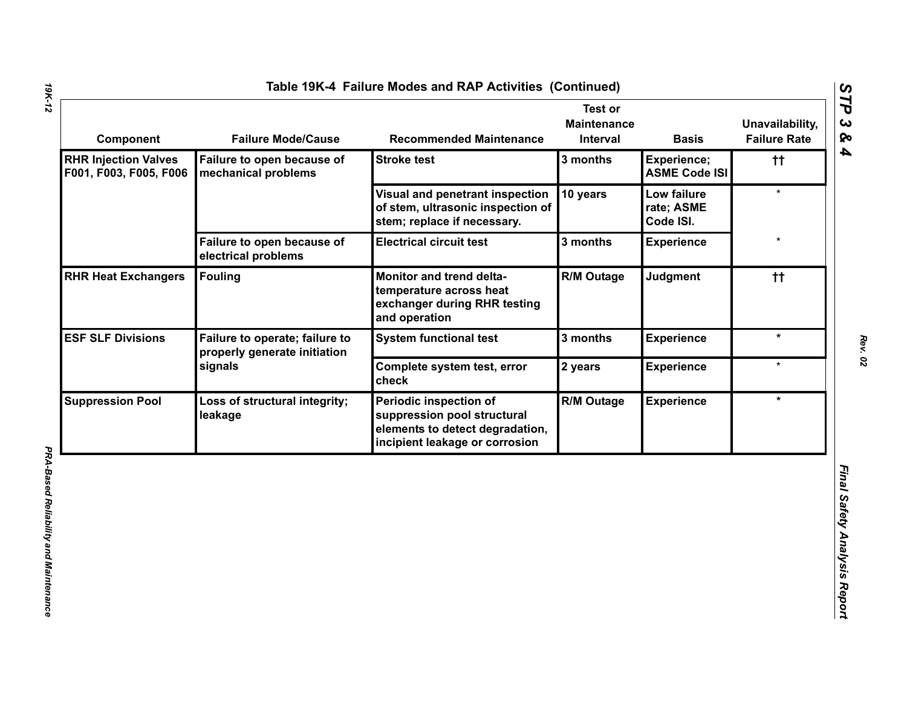| <b>RHR Injection Valves</b><br>Failure to open because of<br><b>Stroke test</b><br>3 months<br>Experience;<br>tt.<br><b>ASME Code ISI</b><br>F001, F003, F005, F006<br>mechanical problems<br>$\star$<br>Visual and penetrant inspection<br>10 years<br>Low failure<br>of stem, ultrasonic inspection of<br>rate; ASME<br>stem; replace if necessary.<br>Code ISI.<br>Failure to open because of<br><b>Electrical circuit test</b><br>3 months<br><b>Experience</b><br>electrical problems<br><b>Fouling</b><br><b>R/M Outage</b><br><b>Judgment</b><br>Monitor and trend delta-<br>tt.<br>temperature across heat<br>exchanger during RHR testing<br>and operation<br>$\star$<br>Failure to operate; failure to<br><b>System functional test</b><br>3 months<br><b>Experience</b><br>properly generate initiation<br>signals<br>$\star$<br>Complete system test, error<br>2 years<br><b>Experience</b><br>check<br><b>R/M Outage</b><br>$\star$<br>Periodic inspection of<br><b>Experience</b><br>Loss of structural integrity; |
|----------------------------------------------------------------------------------------------------------------------------------------------------------------------------------------------------------------------------------------------------------------------------------------------------------------------------------------------------------------------------------------------------------------------------------------------------------------------------------------------------------------------------------------------------------------------------------------------------------------------------------------------------------------------------------------------------------------------------------------------------------------------------------------------------------------------------------------------------------------------------------------------------------------------------------------------------------------------------------------------------------------------------------|
| <b>RHR Heat Exchangers</b><br><b>ESF SLF Divisions</b>                                                                                                                                                                                                                                                                                                                                                                                                                                                                                                                                                                                                                                                                                                                                                                                                                                                                                                                                                                           |
|                                                                                                                                                                                                                                                                                                                                                                                                                                                                                                                                                                                                                                                                                                                                                                                                                                                                                                                                                                                                                                  |
|                                                                                                                                                                                                                                                                                                                                                                                                                                                                                                                                                                                                                                                                                                                                                                                                                                                                                                                                                                                                                                  |
|                                                                                                                                                                                                                                                                                                                                                                                                                                                                                                                                                                                                                                                                                                                                                                                                                                                                                                                                                                                                                                  |
| <b>Suppression Pool</b>                                                                                                                                                                                                                                                                                                                                                                                                                                                                                                                                                                                                                                                                                                                                                                                                                                                                                                                                                                                                          |
|                                                                                                                                                                                                                                                                                                                                                                                                                                                                                                                                                                                                                                                                                                                                                                                                                                                                                                                                                                                                                                  |
| suppression pool structural<br>leakage<br>elements to detect degradation,<br>incipient leakage or corrosion                                                                                                                                                                                                                                                                                                                                                                                                                                                                                                                                                                                                                                                                                                                                                                                                                                                                                                                      |

*19K-12*

*Rev. 02*

*STP 3 & 4*